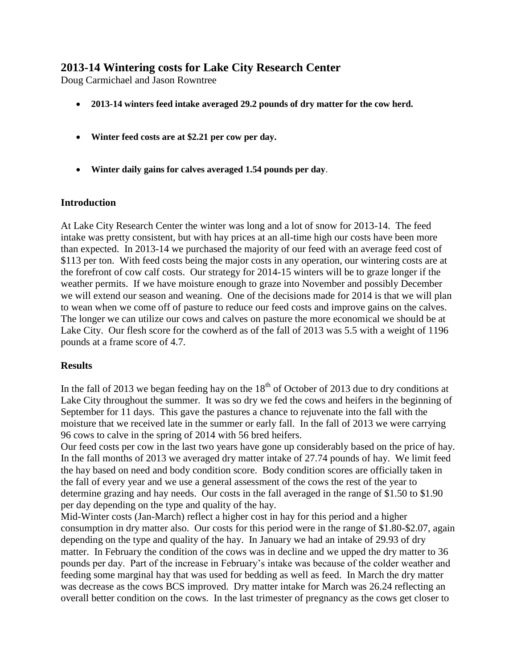# **2013-14 Wintering costs for Lake City Research Center**

Doug Carmichael and Jason Rowntree

- **2013-14 winters feed intake averaged 29.2 pounds of dry matter for the cow herd.**
- **Winter feed costs are at \$2.21 per cow per day.**
- **Winter daily gains for calves averaged 1.54 pounds per day**.

#### **Introduction**

At Lake City Research Center the winter was long and a lot of snow for 2013-14. The feed intake was pretty consistent, but with hay prices at an all-time high our costs have been more than expected. In 2013-14 we purchased the majority of our feed with an average feed cost of \$113 per ton. With feed costs being the major costs in any operation, our wintering costs are at the forefront of cow calf costs. Our strategy for 2014-15 winters will be to graze longer if the weather permits. If we have moisture enough to graze into November and possibly December we will extend our season and weaning. One of the decisions made for 2014 is that we will plan to wean when we come off of pasture to reduce our feed costs and improve gains on the calves. The longer we can utilize our cows and calves on pasture the more economical we should be at Lake City. Our flesh score for the cowherd as of the fall of 2013 was 5.5 with a weight of 1196 pounds at a frame score of 4.7.

## **Results**

In the fall of 2013 we began feeding hay on the  $18<sup>th</sup>$  of October of 2013 due to dry conditions at Lake City throughout the summer. It was so dry we fed the cows and heifers in the beginning of September for 11 days. This gave the pastures a chance to rejuvenate into the fall with the moisture that we received late in the summer or early fall. In the fall of 2013 we were carrying 96 cows to calve in the spring of 2014 with 56 bred heifers.

Our feed costs per cow in the last two years have gone up considerably based on the price of hay. In the fall months of 2013 we averaged dry matter intake of 27.74 pounds of hay. We limit feed the hay based on need and body condition score. Body condition scores are officially taken in the fall of every year and we use a general assessment of the cows the rest of the year to determine grazing and hay needs. Our costs in the fall averaged in the range of \$1.50 to \$1.90 per day depending on the type and quality of the hay.

Mid-Winter costs (Jan-March) reflect a higher cost in hay for this period and a higher consumption in dry matter also. Our costs for this period were in the range of \$1.80-\$2.07, again depending on the type and quality of the hay. In January we had an intake of 29.93 of dry matter. In February the condition of the cows was in decline and we upped the dry matter to 36 pounds per day. Part of the increase in February's intake was because of the colder weather and feeding some marginal hay that was used for bedding as well as feed. In March the dry matter was decrease as the cows BCS improved. Dry matter intake for March was 26.24 reflecting an overall better condition on the cows. In the last trimester of pregnancy as the cows get closer to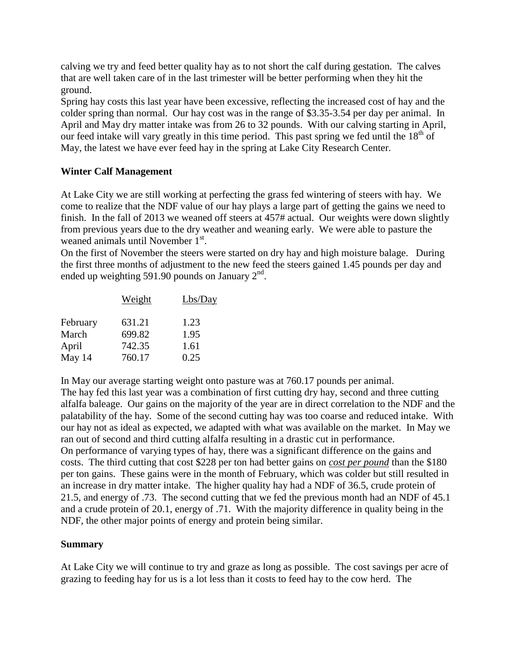calving we try and feed better quality hay as to not short the calf during gestation. The calves that are well taken care of in the last trimester will be better performing when they hit the ground.

Spring hay costs this last year have been excessive, reflecting the increased cost of hay and the colder spring than normal. Our hay cost was in the range of \$3.35-3.54 per day per animal. In April and May dry matter intake was from 26 to 32 pounds. With our calving starting in April, our feed intake will vary greatly in this time period. This past spring we fed until the  $18<sup>th</sup>$  of May, the latest we have ever feed hay in the spring at Lake City Research Center.

## **Winter Calf Management**

At Lake City we are still working at perfecting the grass fed wintering of steers with hay. We come to realize that the NDF value of our hay plays a large part of getting the gains we need to finish. In the fall of 2013 we weaned off steers at 457# actual. Our weights were down slightly from previous years due to the dry weather and weaning early. We were able to pasture the weaned animals until November 1<sup>st</sup>.

On the first of November the steers were started on dry hay and high moisture balage. During the first three months of adjustment to the new feed the steers gained 1.45 pounds per day and ended up weighting 591.90 pounds on January  $2<sup>nd</sup>$ .

|          | Weight | Lbs/Day |
|----------|--------|---------|
| February | 631.21 | 1.23    |
| March    | 699.82 | 1.95    |
| April    | 742.35 | 1.61    |
| May 14   | 760.17 | 0.25    |

In May our average starting weight onto pasture was at 760.17 pounds per animal. The hay fed this last year was a combination of first cutting dry hay, second and three cutting alfalfa baleage. Our gains on the majority of the year are in direct correlation to the NDF and the palatability of the hay. Some of the second cutting hay was too coarse and reduced intake. With our hay not as ideal as expected, we adapted with what was available on the market. In May we ran out of second and third cutting alfalfa resulting in a drastic cut in performance. On performance of varying types of hay, there was a significant difference on the gains and costs. The third cutting that cost \$228 per ton had better gains on *cost per pound* than the \$180 per ton gains. These gains were in the month of February, which was colder but still resulted in an increase in dry matter intake. The higher quality hay had a NDF of 36.5, crude protein of 21.5, and energy of .73. The second cutting that we fed the previous month had an NDF of 45.1 and a crude protein of 20.1, energy of .71. With the majority difference in quality being in the NDF, the other major points of energy and protein being similar.

## **Summary**

At Lake City we will continue to try and graze as long as possible. The cost savings per acre of grazing to feeding hay for us is a lot less than it costs to feed hay to the cow herd. The